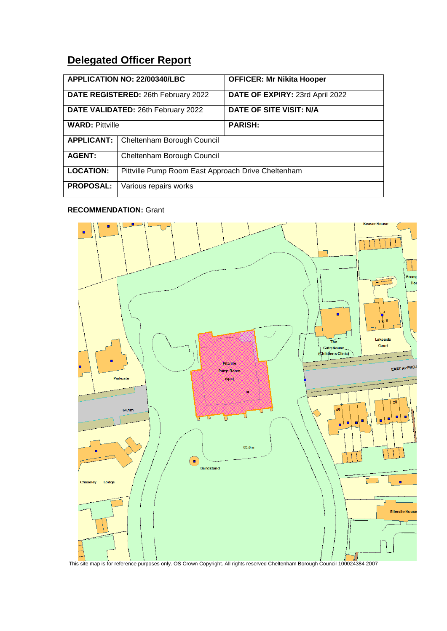# **Delegated Officer Report**

| APPLICATION NO: 22/00340/LBC        |                                                    | <b>OFFICER: Mr Nikita Hooper</b> |
|-------------------------------------|----------------------------------------------------|----------------------------------|
| DATE REGISTERED: 26th February 2022 |                                                    | DATE OF EXPIRY: 23rd April 2022  |
| DATE VALIDATED: 26th February 2022  |                                                    | DATE OF SITE VISIT: N/A          |
| <b>WARD: Pittville</b>              |                                                    | <b>PARISH:</b>                   |
| <b>APPLICANT:</b>                   | Cheltenham Borough Council                         |                                  |
| <b>AGENT:</b>                       | Cheltenham Borough Council                         |                                  |
| <b>LOCATION:</b>                    | Pittville Pump Room East Approach Drive Cheltenham |                                  |
| <b>PROPOSAL:</b>                    | Various repairs works                              |                                  |

# **RECOMMENDATION:** Grant

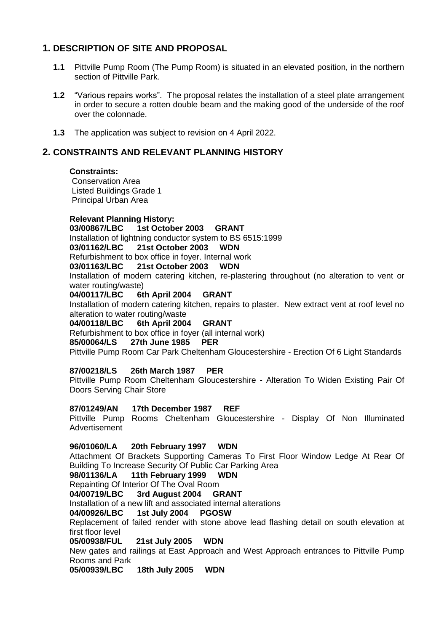# **1. DESCRIPTION OF SITE AND PROPOSAL**

- **1.1** Pittville Pump Room (The Pump Room) is situated in an elevated position, in the northern section of Pittville Park.
- **1.2** "Various repairs works". The proposal relates the installation of a steel plate arrangement in order to secure a rotten double beam and the making good of the underside of the roof over the colonnade.
- **1.3** The application was subject to revision on 4 April 2022.

## **2. CONSTRAINTS AND RELEVANT PLANNING HISTORY**

### **Constraints:**

Conservation Area Listed Buildings Grade 1 Principal Urban Area

### **Relevant Planning History:**

**03/00867/LBC 1st October 2003 GRANT** Installation of lightning conductor system to BS 6515:1999

### **03/01162/LBC 21st October 2003 WDN**

Refurbishment to box office in foyer. Internal work<br>03/01163/LBC 21st October 2003 WDN

03/01163/LBC 21st October 2003

Installation of modern catering kitchen, re-plastering throughout (no alteration to vent or water routing/waste)

### **04/00117/LBC 6th April 2004 GRANT**

Installation of modern catering kitchen, repairs to plaster. New extract vent at roof level no alteration to water routing/waste

### **04/00118/LBC 6th April 2004 GRANT**

Refurbishment to box office in foyer (all internal work)

### **85/00064/LS 27th June 1985 PER**

Pittville Pump Room Car Park Cheltenham Gloucestershire - Erection Of 6 Light Standards

### **87/00218/LS 26th March 1987 PER**

Pittville Pump Room Cheltenham Gloucestershire - Alteration To Widen Existing Pair Of Doors Serving Chair Store

### **87/01249/AN 17th December 1987 REF**

Pittville Pump Rooms Cheltenham Gloucestershire - Display Of Non Illuminated Advertisement

### **96/01060/LA 20th February 1997 WDN**

Attachment Of Brackets Supporting Cameras To First Floor Window Ledge At Rear Of Building To Increase Security Of Public Car Parking Area

### **98/01136/LA 11th February 1999 WDN**

Repainting Of Interior Of The Oval Room

### **04/00719/LBC 3rd August 2004 GRANT**

Installation of a new lift and associated internal alterations

### **04/00926/LBC 1st July 2004 PGOSW**

Replacement of failed render with stone above lead flashing detail on south elevation at first floor level

**05/00938/FUL 21st July 2005 WDN**

New gates and railings at East Approach and West Approach entrances to Pittville Pump Rooms and Park

**05/00939/LBC 18th July 2005 WDN**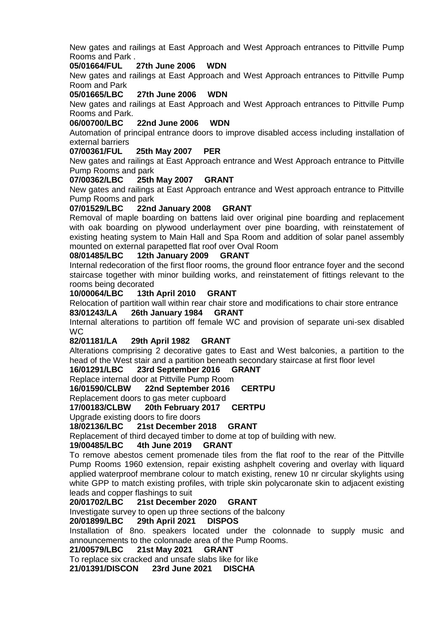New gates and railings at East Approach and West Approach entrances to Pittville Pump Rooms and Park .

**05/01664/FUL 27th June 2006 WDN**

New gates and railings at East Approach and West Approach entrances to Pittville Pump Room and Park

**05/01665/LBC 27th June 2006 WDN**

New gates and railings at East Approach and West Approach entrances to Pittville Pump Rooms and Park.

#### **06/00700/LBC 22nd June 2006 WDN**

Automation of principal entrance doors to improve disabled access including installation of external barriers

### **07/00361/FUL 25th May 2007 PER**

New gates and railings at East Approach entrance and West Approach entrance to Pittville Pump Rooms and park

#### **07/00362/LBC 25th May 2007 GRANT**

New gates and railings at East Approach entrance and West approach entrance to Pittville Pump Rooms and park

### **07/01529/LBC 22nd January 2008 GRANT**

Removal of maple boarding on battens laid over original pine boarding and replacement with oak boarding on plywood underlayment over pine boarding, with reinstatement of existing heating system to Main Hall and Spa Room and addition of solar panel assembly mounted on external parapetted flat roof over Oval Room<br>08/01485/LBC 12th January 2009 GRANT

### 12th January 2009 GRANT

Internal redecoration of the first floor rooms, the ground floor entrance foyer and the second staircase together with minor building works, and reinstatement of fittings relevant to the rooms being decorated

### **10/00064/LBC 13th April 2010 GRANT**

Relocation of partition wall within rear chair store and modifications to chair store entrance **83/01243/LA 26th January 1984 GRANT**

Internal alterations to partition off female WC and provision of separate uni-sex disabled **WC** 

### **82/01181/LA 29th April 1982 GRANT**

Alterations comprising 2 decorative gates to East and West balconies, a partition to the head of the West stair and a partition beneath secondary staircase at first floor level

# **16/01291/LBC 23rd September 2016 GRANT**

Replace internal door at Pittville Pump Room

**16/01590/CLBW 22nd September 2016 CERTPU**

Replacement doors to gas meter cupboard

**17/00183/CLBW 20th February 2017 CERTPU**

Upgrade existing doors to fire doors

### **18/02136/LBC 21st December 2018 GRANT**

Replacement of third decayed timber to dome at top of building with new.

### **19/00485/LBC 4th June 2019 GRANT**

To remove abestos cement promenade tiles from the flat roof to the rear of the Pittville Pump Rooms 1960 extension, repair existing ashphelt covering and overlay with liquard applied waterproof membrane colour to match existing, renew 10 nr circular skylights using white GPP to match existing profiles, with triple skin polycaronate skin to adjacent existing leads and copper flashings to suit

### **20/01702/LBC 21st December 2020 GRANT**

Investigate survey to open up three sections of the balcony

### **20/01899/LBC 29th April 2021 DISPOS**

Installation of 8no. speakers located under the colonnade to supply music and announcements to the colonnade area of the Pump Rooms.

### **21/00579/LBC 21st May 2021 GRANT**

To replace six cracked and unsafe slabs like for like

**21/01391/DISCON 23rd June 2021 DISCHA**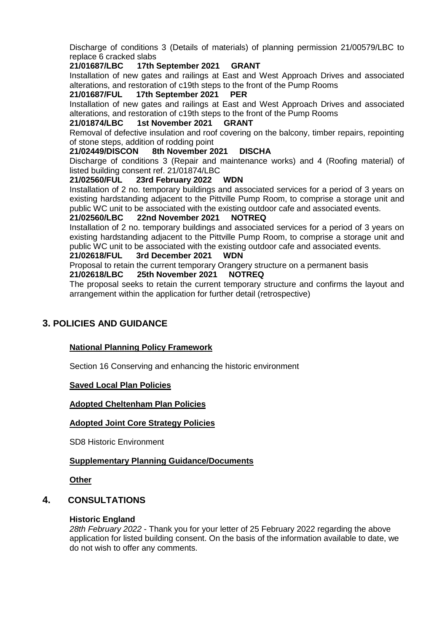Discharge of conditions 3 (Details of materials) of planning permission 21/00579/LBC to replace 6 cracked slabs

### **21/01687/LBC 17th September 2021 GRANT**

Installation of new gates and railings at East and West Approach Drives and associated alterations, and restoration of c19th steps to the front of the Pump Rooms

### **21/01687/FUL 17th September 2021 PER**

Installation of new gates and railings at East and West Approach Drives and associated alterations, and restoration of c19th steps to the front of the Pump Rooms

### **21/01874/LBC 1st November 2021 GRANT**

Removal of defective insulation and roof covering on the balcony, timber repairs, repointing of stone steps, addition of rodding point

### **21/02449/DISCON 8th November 2021 DISCHA**

Discharge of conditions 3 (Repair and maintenance works) and 4 (Roofing material) of listed building consent ref. 21/01874/LBC

### **21/02560/FUL 23rd February 2022 WDN**

Installation of 2 no. temporary buildings and associated services for a period of 3 years on existing hardstanding adjacent to the Pittville Pump Room, to comprise a storage unit and public WC unit to be associated with the existing outdoor cafe and associated events.

### **21/02560/LBC 22nd November 2021 NOTREQ**

Installation of 2 no. temporary buildings and associated services for a period of 3 years on existing hardstanding adjacent to the Pittville Pump Room, to comprise a storage unit and public WC unit to be associated with the existing outdoor cafe and associated events.

### **21/02618/FUL 3rd December 2021 WDN**

Proposal to retain the current temporary Orangery structure on a permanent basis

### **21/02618/LBC 25th November 2021 NOTREQ**

The proposal seeks to retain the current temporary structure and confirms the layout and arrangement within the application for further detail (retrospective)

# **3. POLICIES AND GUIDANCE**

### **National Planning Policy Framework**

Section 16 Conserving and enhancing the historic environment

### **Saved Local Plan Policies**

### **Adopted Cheltenham Plan Policies**

### **Adopted Joint Core Strategy Policies**

SD8 Historic Environment

### **Supplementary Planning Guidance/Documents**

### **Other**

# **4. CONSULTATIONS**

### **Historic England**

*28th February 2022* - Thank you for your letter of 25 February 2022 regarding the above application for listed building consent. On the basis of the information available to date, we do not wish to offer any comments.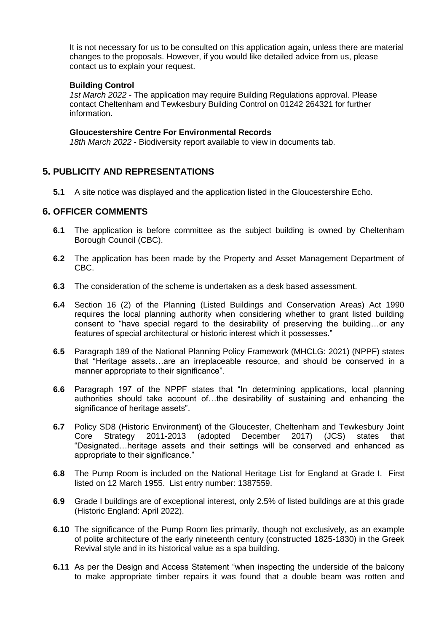It is not necessary for us to be consulted on this application again, unless there are material changes to the proposals. However, if you would like detailed advice from us, please contact us to explain your request.

### **Building Control**

*1st March 2022* - The application may require Building Regulations approval. Please contact Cheltenham and Tewkesbury Building Control on 01242 264321 for further information.

### **Gloucestershire Centre For Environmental Records**

*18th March 2022* - Biodiversity report available to view in documents tab.

# **5. PUBLICITY AND REPRESENTATIONS**

**5.1** A site notice was displayed and the application listed in the Gloucestershire Echo.

### **6. OFFICER COMMENTS**

- **6.1** The application is before committee as the subject building is owned by Cheltenham Borough Council (CBC).
- **6.2** The application has been made by the Property and Asset Management Department of CBC.
- **6.3** The consideration of the scheme is undertaken as a desk based assessment.
- **6.4** Section 16 (2) of the Planning (Listed Buildings and Conservation Areas) Act 1990 requires the local planning authority when considering whether to grant listed building consent to "have special regard to the desirability of preserving the building…or any features of special architectural or historic interest which it possesses."
- **6.5** Paragraph 189 of the National Planning Policy Framework (MHCLG: 2021) (NPPF) states that "Heritage assets…are an irreplaceable resource, and should be conserved in a manner appropriate to their significance".
- **6.6** Paragraph 197 of the NPPF states that "In determining applications, local planning authorities should take account of…the desirability of sustaining and enhancing the significance of heritage assets".
- **6.7** Policy SD8 (Historic Environment) of the Gloucester, Cheltenham and Tewkesbury Joint Core Strategy 2011-2013 (adopted December 2017) (JCS) states that "Designated…heritage assets and their settings will be conserved and enhanced as appropriate to their significance."
- **6.8** The Pump Room is included on the National Heritage List for England at Grade I. First listed on 12 March 1955. List entry number: 1387559.
- **6.9** Grade I buildings are of exceptional interest, only 2.5% of listed buildings are at this grade (Historic England: April 2022).
- **6.10** The significance of the Pump Room lies primarily, though not exclusively, as an example of polite architecture of the early nineteenth century (constructed 1825-1830) in the Greek Revival style and in its historical value as a spa building.
- **6.11** As per the Design and Access Statement "when inspecting the underside of the balcony to make appropriate timber repairs it was found that a double beam was rotten and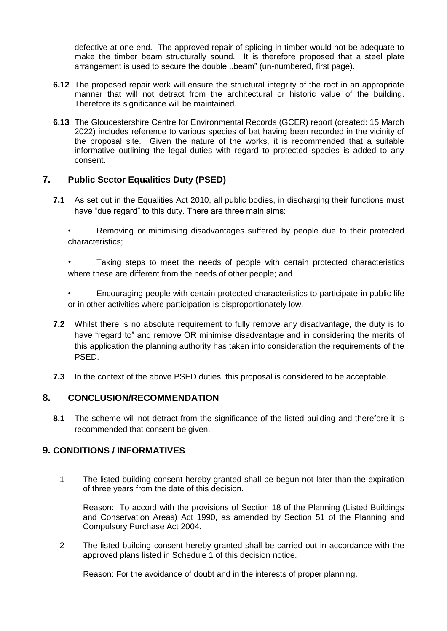defective at one end. The approved repair of splicing in timber would not be adequate to make the timber beam structurally sound. It is therefore proposed that a steel plate arrangement is used to secure the double...beam" (un-numbered, first page).

- **6.12** The proposed repair work will ensure the structural integrity of the roof in an appropriate manner that will not detract from the architectural or historic value of the building. Therefore its significance will be maintained.
- **6.13** The Gloucestershire Centre for Environmental Records (GCER) report (created: 15 March 2022) includes reference to various species of bat having been recorded in the vicinity of the proposal site. Given the nature of the works, it is recommended that a suitable informative outlining the legal duties with regard to protected species is added to any consent.

# **7. Public Sector Equalities Duty (PSED)**

- **7.1** As set out in the Equalities Act 2010, all public bodies, in discharging their functions must have "due regard" to this duty. There are three main aims:
	- Removing or minimising disadvantages suffered by people due to their protected characteristics;
	- Taking steps to meet the needs of people with certain protected characteristics where these are different from the needs of other people; and
	- Encouraging people with certain protected characteristics to participate in public life or in other activities where participation is disproportionately low.
- **7.2** Whilst there is no absolute requirement to fully remove any disadvantage, the duty is to have "regard to" and remove OR minimise disadvantage and in considering the merits of this application the planning authority has taken into consideration the requirements of the PSED.
- **7.3** In the context of the above PSED duties, this proposal is considered to be acceptable.

# **8. CONCLUSION/RECOMMENDATION**

8.1 The scheme will not detract from the significance of the listed building and therefore it is recommended that consent be given.

# **9. CONDITIONS / INFORMATIVES**

1 The listed building consent hereby granted shall be begun not later than the expiration of three years from the date of this decision.

Reason: To accord with the provisions of Section 18 of the Planning (Listed Buildings and Conservation Areas) Act 1990, as amended by Section 51 of the Planning and Compulsory Purchase Act 2004.

2 The listed building consent hereby granted shall be carried out in accordance with the approved plans listed in Schedule 1 of this decision notice.

Reason: For the avoidance of doubt and in the interests of proper planning.